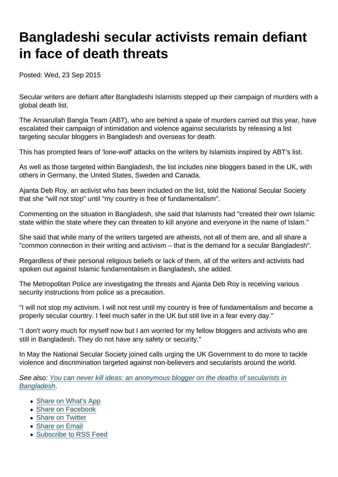## Bangladeshi secular activists remain defiant in face of death threats

Posted: Wed, 23 Sep 2015

Secular writers are defiant after Bangladeshi Islamists stepped up their campaign of murders with a global death list.

The Ansarullah Bangla Team (ABT), who are behind a spate of murders carried out this year, have escalated their campaign of intimidation and violence against secularists by releasing a list targeting secular bloggers in Bangladesh and overseas for death.

This has prompted fears of 'lone-wolf' attacks on the writers by Islamists inspired by ABT's list.

As well as those targeted within Bangladesh, the list includes nine bloggers based in the UK, with others in Germany, the United States, Sweden and Canada.

Ajanta Deb Roy, an activist who has been included on the list, told the National Secular Society that she "will not stop" until "my country is free of fundamentalism".

Commenting on the situation in Bangladesh, she said that Islamists had "created their own Islamic state within the state where they can threaten to kill anyone and everyone in the name of Islam."

She said that while many of the writers targeted are atheists, not all of them are, and all share a "common connection in their writing and activism – that is the demand for a secular Bangladesh".

Regardless of their personal religious beliefs or lack of them, all of the writers and activists had spoken out against Islamic fundamentalism in Bangladesh, she added.

The Metropolitan Police are investigating the threats and Ajanta Deb Roy is receiving various security instructions from police as a precaution.

"I will not stop my activism. I will not rest until my country is free of fundamentalism and become a properly secular country. I feel much safer in the UK but still live in a fear every day."

"I don't worry much for myself now but I am worried for my fellow bloggers and activists who are still in Bangladesh. They do not have any safety or security."

In May the National Secular Society joined calls urging the UK Government to do more to tackle violence and discrimination targeted against non-believers and secularists around the world.

See also: [You can never kill ideas: an anonymous blogger on the deaths of secularists in](https://www.secularism.org.uk/blog/2015/05/you-can-never-kill-ideas--an-anonymous-blogger-on-the-deaths-of-secularists-in-bangladesh) [Bangladesh](https://www.secularism.org.uk/blog/2015/05/you-can-never-kill-ideas--an-anonymous-blogger-on-the-deaths-of-secularists-in-bangladesh).

- [Share on What's App](whatsapp://send?text=http://www.secularism.org.uk/news/2015/09/bangladeshi-secular-activists-remain-defiant-in-face-of-death-threats?format=pdf)
- [Share on Facebook](https://www.facebook.com/sharer/sharer.php?u=http://www.secularism.org.uk/news/2015/09/bangladeshi-secular-activists-remain-defiant-in-face-of-death-threats?format=pdf&t=Bangladeshi+secular+activists+remain+defiant+in+face+of+death+threats)
- [Share on Twitter](https://twitter.com/intent/tweet?url=http://www.secularism.org.uk/news/2015/09/bangladeshi-secular-activists-remain-defiant-in-face-of-death-threats?format=pdf&text=Bangladeshi+secular+activists+remain+defiant+in+face+of+death+threats&via=NatSecSoc)
- [Share on Email](https://www.secularism.org.uk/share.html?url=http://www.secularism.org.uk/news/2015/09/bangladeshi-secular-activists-remain-defiant-in-face-of-death-threats?format=pdf&title=Bangladeshi+secular+activists+remain+defiant+in+face+of+death+threats)
- [Subscribe to RSS Feed](/mnt/web-data/www/cp-nss/feeds/rss/news)